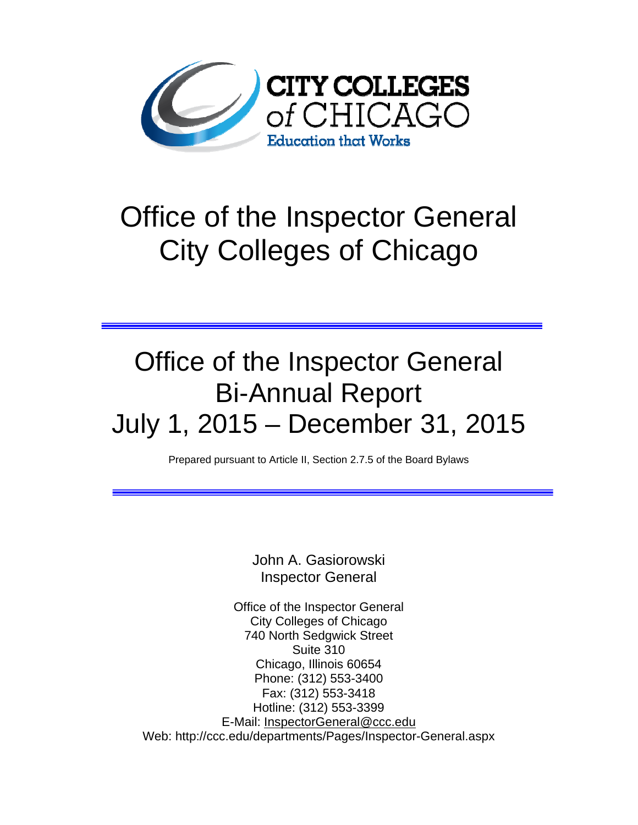

# Office of the Inspector General City Colleges of Chicago

## Office of the Inspector General Bi-Annual Report July 1, 2015 – December 31, 2015

Prepared pursuant to Article II, Section 2.7.5 of the Board Bylaws

John A. Gasiorowski Inspector General

Office of the Inspector General City Colleges of Chicago 740 North Sedgwick Street Suite 310 Chicago, Illinois 60654 Phone: (312) 553-3400 Fax: (312) 553-3418 Hotline: (312) 553-3399 E-Mail: InspectorGeneral@ccc.edu Web: http://ccc.edu/departments/Pages/Inspector-General.aspx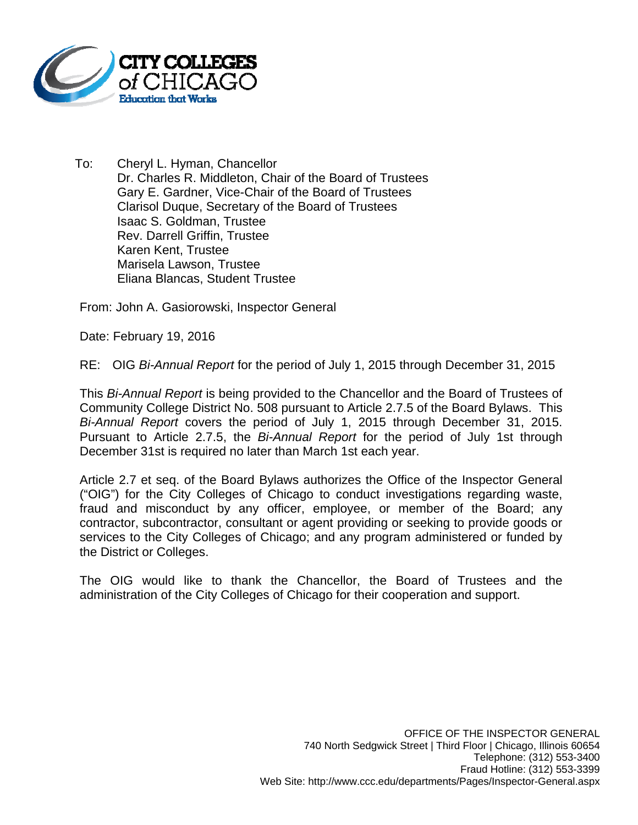

To: Cheryl L. Hyman, Chancellor Dr. Charles R. Middleton, Chair of the Board of Trustees Gary E. Gardner, Vice-Chair of the Board of Trustees Clarisol Duque, Secretary of the Board of Trustees Isaac S. Goldman, Trustee Rev. Darrell Griffin, Trustee Karen Kent, Trustee Marisela Lawson, Trustee Eliana Blancas, Student Trustee

From: John A. Gasiorowski, Inspector General

Date: February 19, 2016

RE: OIG *Bi-Annual Report* for the period of July 1, 2015 through December 31, 2015

This *Bi-Annual Report* is being provided to the Chancellor and the Board of Trustees of Community College District No. 508 pursuant to Article 2.7.5 of the Board Bylaws. This *Bi-Annual Report* covers the period of July 1, 2015 through December 31, 2015. Pursuant to Article 2.7.5, the *Bi-Annual Report* for the period of July 1st through December 31st is required no later than March 1st each year.

Article 2.7 et seq. of the Board Bylaws authorizes the Office of the Inspector General ("OIG") for the City Colleges of Chicago to conduct investigations regarding waste, fraud and misconduct by any officer, employee, or member of the Board; any contractor, subcontractor, consultant or agent providing or seeking to provide goods or services to the City Colleges of Chicago; and any program administered or funded by the District or Colleges.

The OIG would like to thank the Chancellor, the Board of Trustees and the administration of the City Colleges of Chicago for their cooperation and support.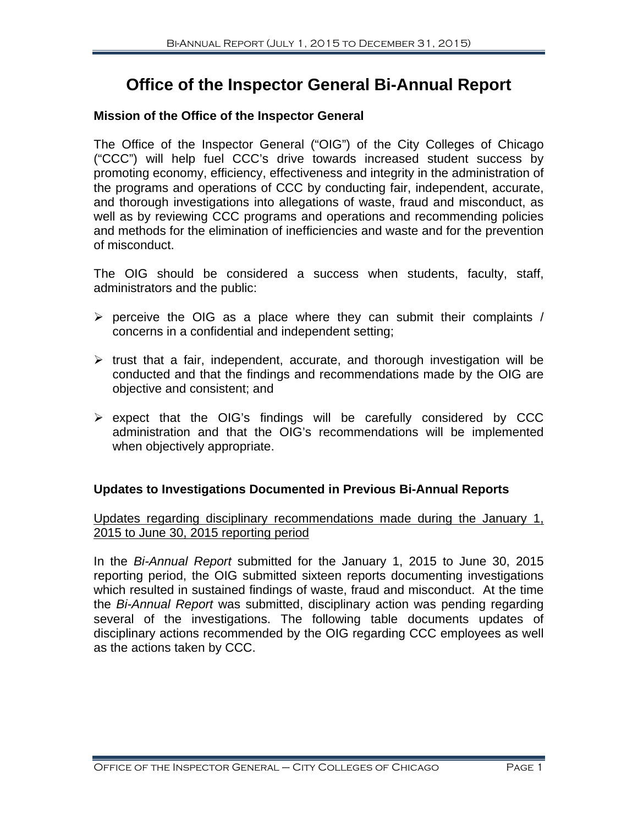### **Office of the Inspector General Bi-Annual Report**

#### **Mission of the Office of the Inspector General**

The Office of the Inspector General ("OIG") of the City Colleges of Chicago ("CCC") will help fuel CCC's drive towards increased student success by promoting economy, efficiency, effectiveness and integrity in the administration of the programs and operations of CCC by conducting fair, independent, accurate, and thorough investigations into allegations of waste, fraud and misconduct, as well as by reviewing CCC programs and operations and recommending policies and methods for the elimination of inefficiencies and waste and for the prevention of misconduct.

The OIG should be considered a success when students, faculty, staff, administrators and the public:

- $\triangleright$  perceive the OIG as a place where they can submit their complaints / concerns in a confidential and independent setting;
- $\triangleright$  trust that a fair, independent, accurate, and thorough investigation will be conducted and that the findings and recommendations made by the OIG are objective and consistent; and
- $\triangleright$  expect that the OIG's findings will be carefully considered by CCC administration and that the OIG's recommendations will be implemented when objectively appropriate.

#### **Updates to Investigations Documented in Previous Bi-Annual Reports**

#### Updates regarding disciplinary recommendations made during the January 1, 2015 to June 30, 2015 reporting period

In the *Bi-Annual Report* submitted for the January 1, 2015 to June 30, 2015 reporting period, the OIG submitted sixteen reports documenting investigations which resulted in sustained findings of waste, fraud and misconduct. At the time the *Bi-Annual Report* was submitted, disciplinary action was pending regarding several of the investigations. The following table documents updates of disciplinary actions recommended by the OIG regarding CCC employees as well as the actions taken by CCC.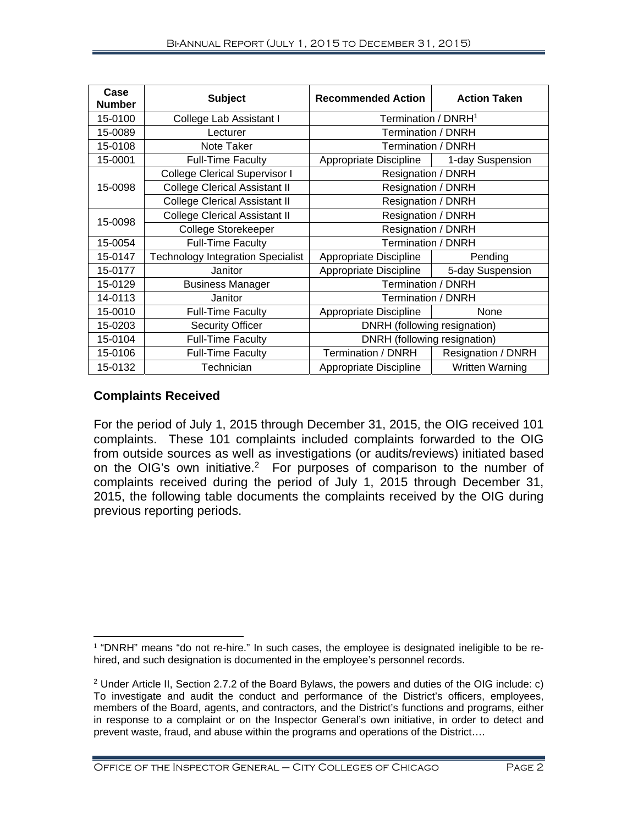| Case<br><b>Number</b> | <b>Subject</b>                           | <b>Recommended Action</b>       | <b>Action Taken</b>    |  |
|-----------------------|------------------------------------------|---------------------------------|------------------------|--|
| 15-0100               | College Lab Assistant I                  | Termination / DNRH <sup>1</sup> |                        |  |
| 15-0089               | Lecturer                                 | Termination / DNRH              |                        |  |
| 15-0108               | Note Taker                               | Termination / DNRH              |                        |  |
| 15-0001               | <b>Full-Time Faculty</b>                 | Appropriate Discipline          | 1-day Suspension       |  |
| 15-0098               | <b>College Clerical Supervisor I</b>     | Resignation / DNRH              |                        |  |
|                       | <b>College Clerical Assistant II</b>     | Resignation / DNRH              |                        |  |
|                       | <b>College Clerical Assistant II</b>     | Resignation / DNRH              |                        |  |
| 15-0098               | <b>College Clerical Assistant II</b>     | Resignation / DNRH              |                        |  |
|                       | College Storekeeper                      | Resignation / DNRH              |                        |  |
| 15-0054               | <b>Full-Time Faculty</b>                 | Termination / DNRH              |                        |  |
| 15-0147               | <b>Technology Integration Specialist</b> | Appropriate Discipline          | Pending                |  |
| 15-0177               | Janitor                                  | Appropriate Discipline          | 5-day Suspension       |  |
| 15-0129               | <b>Business Manager</b>                  | <b>Termination / DNRH</b>       |                        |  |
| 14-0113               | Janitor                                  | Termination / DNRH              |                        |  |
| 15-0010               | <b>Full-Time Faculty</b>                 | Appropriate Discipline          | None                   |  |
| 15-0203               | <b>Security Officer</b>                  | DNRH (following resignation)    |                        |  |
| 15-0104               | <b>Full-Time Faculty</b>                 | DNRH (following resignation)    |                        |  |
| 15-0106               | <b>Full-Time Faculty</b>                 | Termination / DNRH              | Resignation / DNRH     |  |
| 15-0132               | Technician                               | Appropriate Discipline          | <b>Written Warning</b> |  |

#### **Complaints Received**

 $\overline{a}$ 

For the period of July 1, 2015 through December 31, 2015, the OIG received 101 complaints. These 101 complaints included complaints forwarded to the OIG from outside sources as well as investigations (or audits/reviews) initiated based on the OIG's own initiative.2 For purposes of comparison to the number of complaints received during the period of July 1, 2015 through December 31, 2015, the following table documents the complaints received by the OIG during previous reporting periods.

 $1$  "DNRH" means "do not re-hire." In such cases, the employee is designated ineligible to be rehired, and such designation is documented in the employee's personnel records.

<sup>&</sup>lt;sup>2</sup> Under Article II, Section 2.7.2 of the Board Bylaws, the powers and duties of the OIG include: c) To investigate and audit the conduct and performance of the District's officers, employees, members of the Board, agents, and contractors, and the District's functions and programs, either in response to a complaint or on the Inspector General's own initiative, in order to detect and prevent waste, fraud, and abuse within the programs and operations of the District….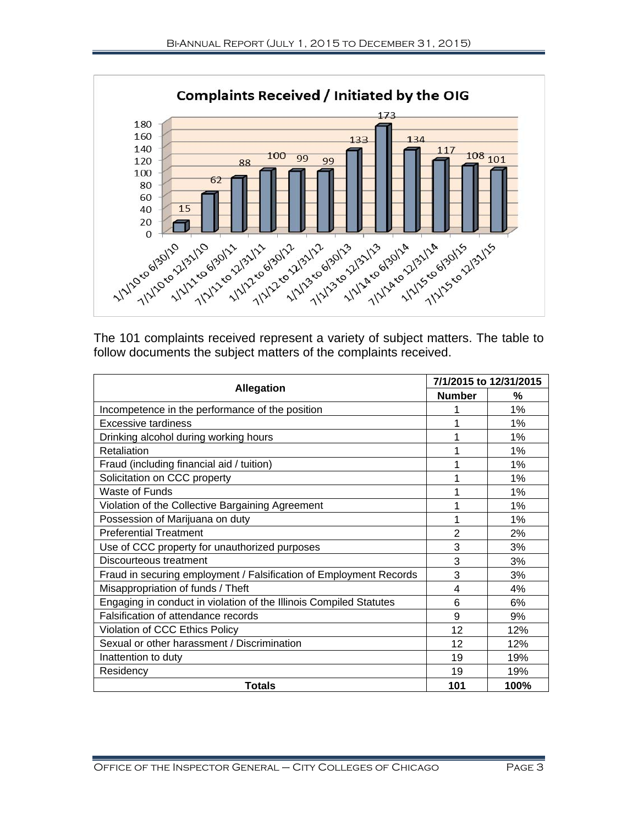

The 101 complaints received represent a variety of subject matters. The table to follow documents the subject matters of the complaints received.

|                                                                    | 7/1/2015 to 12/31/2015 |      |
|--------------------------------------------------------------------|------------------------|------|
| <b>Allegation</b>                                                  | <b>Number</b>          | %    |
| Incompetence in the performance of the position                    | 1                      | 1%   |
| Excessive tardiness                                                |                        | 1%   |
| Drinking alcohol during working hours                              | 1                      | 1%   |
| Retaliation                                                        |                        | 1%   |
| Fraud (including financial aid / tuition)                          | 1                      | 1%   |
| Solicitation on CCC property                                       |                        | 1%   |
| Waste of Funds                                                     | 1                      | 1%   |
| Violation of the Collective Bargaining Agreement                   | 1                      | 1%   |
| Possession of Marijuana on duty                                    | 1                      | 1%   |
| <b>Preferential Treatment</b>                                      | $\overline{2}$         | 2%   |
| Use of CCC property for unauthorized purposes                      | 3                      | 3%   |
| Discourteous treatment                                             | 3                      | 3%   |
| Fraud in securing employment / Falsification of Employment Records | 3                      | 3%   |
| Misappropriation of funds / Theft                                  | 4                      | 4%   |
| Engaging in conduct in violation of the Illinois Compiled Statutes | 6                      | 6%   |
| Falsification of attendance records                                | 9                      | 9%   |
| Violation of CCC Ethics Policy                                     | 12                     | 12%  |
| Sexual or other harassment / Discrimination                        | 12                     | 12%  |
| Inattention to duty                                                | 19                     | 19%  |
| Residency                                                          | 19                     | 19%  |
| Totals                                                             | 101                    | 100% |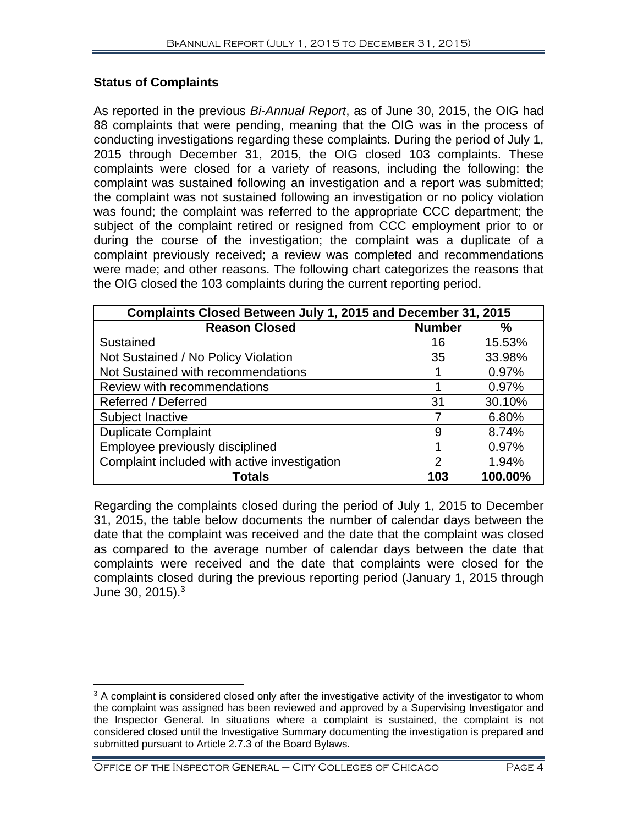#### **Status of Complaints**

As reported in the previous *Bi-Annual Report*, as of June 30, 2015, the OIG had 88 complaints that were pending, meaning that the OIG was in the process of conducting investigations regarding these complaints. During the period of July 1, 2015 through December 31, 2015, the OIG closed 103 complaints. These complaints were closed for a variety of reasons, including the following: the complaint was sustained following an investigation and a report was submitted; the complaint was not sustained following an investigation or no policy violation was found; the complaint was referred to the appropriate CCC department; the subject of the complaint retired or resigned from CCC employment prior to or during the course of the investigation; the complaint was a duplicate of a complaint previously received; a review was completed and recommendations were made; and other reasons. The following chart categorizes the reasons that the OIG closed the 103 complaints during the current reporting period.

| Complaints Closed Between July 1, 2015 and December 31, 2015 |                |               |  |  |  |
|--------------------------------------------------------------|----------------|---------------|--|--|--|
| <b>Reason Closed</b>                                         | <b>Number</b>  | $\frac{0}{0}$ |  |  |  |
| Sustained                                                    | 16             | 15.53%        |  |  |  |
| Not Sustained / No Policy Violation                          | 35             | 33.98%        |  |  |  |
| Not Sustained with recommendations                           |                | 0.97%         |  |  |  |
| Review with recommendations                                  |                | 0.97%         |  |  |  |
| Referred / Deferred                                          | 31             | 30.10%        |  |  |  |
| Subject Inactive                                             |                | 6.80%         |  |  |  |
| <b>Duplicate Complaint</b>                                   | 9              | 8.74%         |  |  |  |
| Employee previously disciplined                              |                | 0.97%         |  |  |  |
| Complaint included with active investigation                 | $\overline{2}$ | 1.94%         |  |  |  |
| <b>Totals</b>                                                | 103            | 100.00%       |  |  |  |

Regarding the complaints closed during the period of July 1, 2015 to December 31, 2015, the table below documents the number of calendar days between the date that the complaint was received and the date that the complaint was closed as compared to the average number of calendar days between the date that complaints were received and the date that complaints were closed for the complaints closed during the previous reporting period (January 1, 2015 through June 30, 2015).<sup>3</sup>

<sup>1</sup>  $3$  A complaint is considered closed only after the investigative activity of the investigator to whom the complaint was assigned has been reviewed and approved by a Supervising Investigator and the Inspector General. In situations where a complaint is sustained, the complaint is not considered closed until the Investigative Summary documenting the investigation is prepared and submitted pursuant to Article 2.7.3 of the Board Bylaws.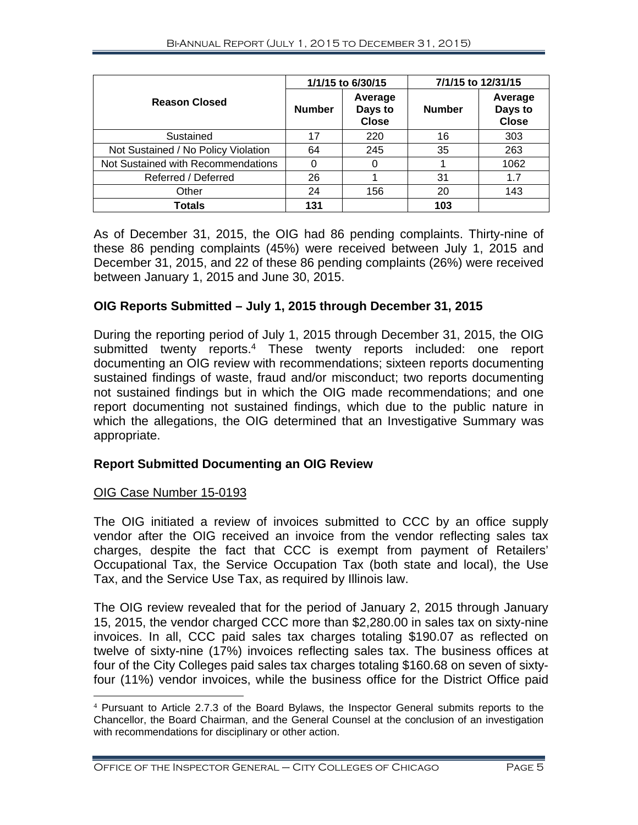|                                     | 1/1/15 to 6/30/15 |                                    | 7/1/15 to 12/31/15 |                                    |
|-------------------------------------|-------------------|------------------------------------|--------------------|------------------------------------|
| <b>Reason Closed</b>                | <b>Number</b>     | Average<br>Days to<br><b>Close</b> | <b>Number</b>      | Average<br>Days to<br><b>Close</b> |
| Sustained                           | 17                | 220                                | 16                 | 303                                |
| Not Sustained / No Policy Violation | 64                | 245                                | 35                 | 263                                |
| Not Sustained with Recommendations  | 0                 | 0                                  |                    | 1062                               |
| Referred / Deferred                 | 26                |                                    | 31                 | 1.7                                |
| Other                               | 24                | 156                                | 20                 | 143                                |
| Totals                              | 131               |                                    | 103                |                                    |

As of December 31, 2015, the OIG had 86 pending complaints. Thirty-nine of these 86 pending complaints (45%) were received between July 1, 2015 and December 31, 2015, and 22 of these 86 pending complaints (26%) were received between January 1, 2015 and June 30, 2015.

#### **OIG Reports Submitted – July 1, 2015 through December 31, 2015**

During the reporting period of July 1, 2015 through December 31, 2015, the OIG submitted twenty reports.<sup>4</sup> These twenty reports included: one report documenting an OIG review with recommendations; sixteen reports documenting sustained findings of waste, fraud and/or misconduct; two reports documenting not sustained findings but in which the OIG made recommendations; and one report documenting not sustained findings, which due to the public nature in which the allegations, the OIG determined that an Investigative Summary was appropriate.

#### **Report Submitted Documenting an OIG Review**

#### OIG Case Number 15-0193

The OIG initiated a review of invoices submitted to CCC by an office supply vendor after the OIG received an invoice from the vendor reflecting sales tax charges, despite the fact that CCC is exempt from payment of Retailers' Occupational Tax, the Service Occupation Tax (both state and local), the Use Tax, and the Service Use Tax, as required by Illinois law.

The OIG review revealed that for the period of January 2, 2015 through January 15, 2015, the vendor charged CCC more than \$2,280.00 in sales tax on sixty-nine invoices. In all, CCC paid sales tax charges totaling \$190.07 as reflected on twelve of sixty-nine (17%) invoices reflecting sales tax. The business offices at four of the City Colleges paid sales tax charges totaling \$160.68 on seven of sixtyfour (11%) vendor invoices, while the business office for the District Office paid

 $\overline{a}$ <sup>4</sup> Pursuant to Article 2.7.3 of the Board Bylaws, the Inspector General submits reports to the Chancellor, the Board Chairman, and the General Counsel at the conclusion of an investigation with recommendations for disciplinary or other action.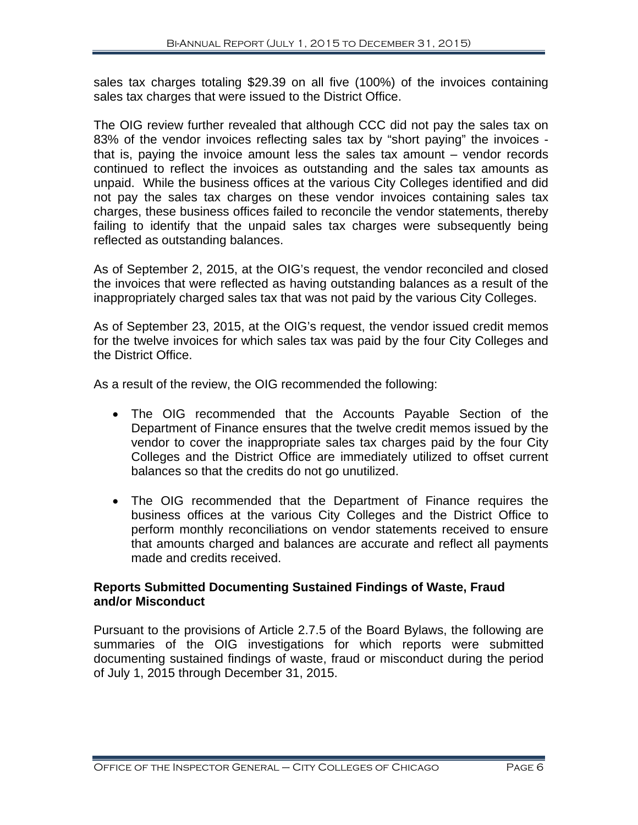sales tax charges totaling \$29.39 on all five (100%) of the invoices containing sales tax charges that were issued to the District Office.

The OIG review further revealed that although CCC did not pay the sales tax on 83% of the vendor invoices reflecting sales tax by "short paying" the invoices that is, paying the invoice amount less the sales tax amount – vendor records continued to reflect the invoices as outstanding and the sales tax amounts as unpaid. While the business offices at the various City Colleges identified and did not pay the sales tax charges on these vendor invoices containing sales tax charges, these business offices failed to reconcile the vendor statements, thereby failing to identify that the unpaid sales tax charges were subsequently being reflected as outstanding balances.

As of September 2, 2015, at the OIG's request, the vendor reconciled and closed the invoices that were reflected as having outstanding balances as a result of the inappropriately charged sales tax that was not paid by the various City Colleges.

As of September 23, 2015, at the OIG's request, the vendor issued credit memos for the twelve invoices for which sales tax was paid by the four City Colleges and the District Office.

As a result of the review, the OIG recommended the following:

- The OIG recommended that the Accounts Payable Section of the Department of Finance ensures that the twelve credit memos issued by the vendor to cover the inappropriate sales tax charges paid by the four City Colleges and the District Office are immediately utilized to offset current balances so that the credits do not go unutilized.
- The OIG recommended that the Department of Finance requires the business offices at the various City Colleges and the District Office to perform monthly reconciliations on vendor statements received to ensure that amounts charged and balances are accurate and reflect all payments made and credits received.

#### **Reports Submitted Documenting Sustained Findings of Waste, Fraud and/or Misconduct**

Pursuant to the provisions of Article 2.7.5 of the Board Bylaws, the following are summaries of the OIG investigations for which reports were submitted documenting sustained findings of waste, fraud or misconduct during the period of July 1, 2015 through December 31, 2015.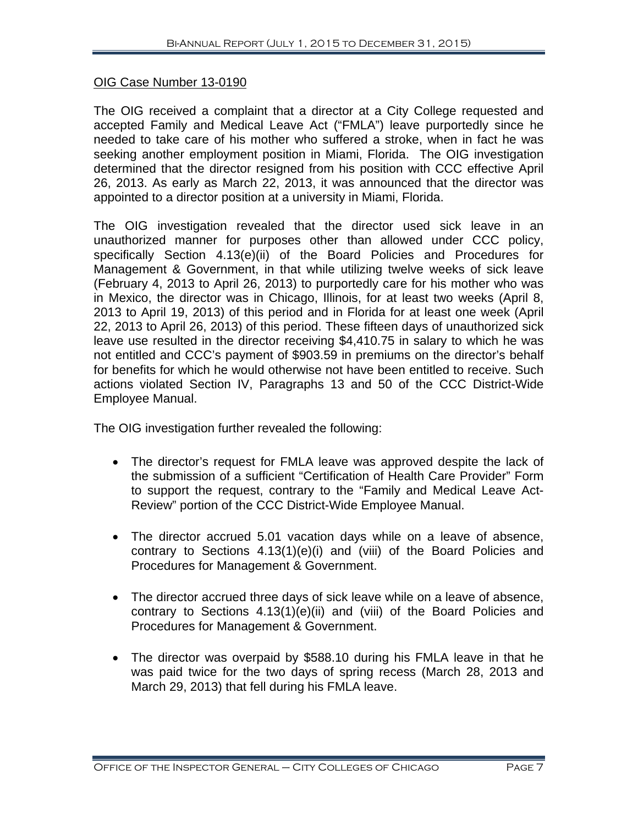#### OIG Case Number 13-0190

The OIG received a complaint that a director at a City College requested and accepted Family and Medical Leave Act ("FMLA") leave purportedly since he needed to take care of his mother who suffered a stroke, when in fact he was seeking another employment position in Miami, Florida. The OIG investigation determined that the director resigned from his position with CCC effective April 26, 2013. As early as March 22, 2013, it was announced that the director was appointed to a director position at a university in Miami, Florida.

The OIG investigation revealed that the director used sick leave in an unauthorized manner for purposes other than allowed under CCC policy, specifically Section 4.13(e)(ii) of the Board Policies and Procedures for Management & Government, in that while utilizing twelve weeks of sick leave (February 4, 2013 to April 26, 2013) to purportedly care for his mother who was in Mexico, the director was in Chicago, Illinois, for at least two weeks (April 8, 2013 to April 19, 2013) of this period and in Florida for at least one week (April 22, 2013 to April 26, 2013) of this period. These fifteen days of unauthorized sick leave use resulted in the director receiving \$4,410.75 in salary to which he was not entitled and CCC's payment of \$903.59 in premiums on the director's behalf for benefits for which he would otherwise not have been entitled to receive. Such actions violated Section IV, Paragraphs 13 and 50 of the CCC District-Wide Employee Manual.

The OIG investigation further revealed the following:

- The director's request for FMLA leave was approved despite the lack of the submission of a sufficient "Certification of Health Care Provider" Form to support the request, contrary to the "Family and Medical Leave Act-Review" portion of the CCC District-Wide Employee Manual.
- The director accrued 5.01 vacation days while on a leave of absence, contrary to Sections 4.13(1)(e)(i) and (viii) of the Board Policies and Procedures for Management & Government.
- The director accrued three days of sick leave while on a leave of absence, contrary to Sections 4.13(1)(e)(ii) and (viii) of the Board Policies and Procedures for Management & Government.
- The director was overpaid by \$588.10 during his FMLA leave in that he was paid twice for the two days of spring recess (March 28, 2013 and March 29, 2013) that fell during his FMLA leave.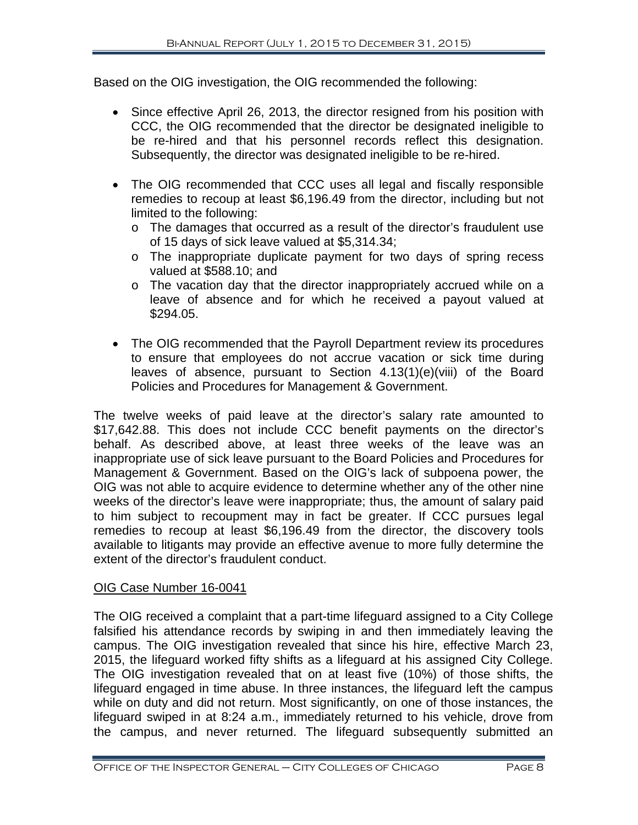Based on the OIG investigation, the OIG recommended the following:

- Since effective April 26, 2013, the director resigned from his position with CCC, the OIG recommended that the director be designated ineligible to be re-hired and that his personnel records reflect this designation. Subsequently, the director was designated ineligible to be re-hired.
- The OIG recommended that CCC uses all legal and fiscally responsible remedies to recoup at least \$6,196.49 from the director, including but not limited to the following:
	- o The damages that occurred as a result of the director's fraudulent use of 15 days of sick leave valued at \$5,314.34;
	- o The inappropriate duplicate payment for two days of spring recess valued at \$588.10; and
	- o The vacation day that the director inappropriately accrued while on a leave of absence and for which he received a payout valued at \$294.05.
- The OIG recommended that the Payroll Department review its procedures to ensure that employees do not accrue vacation or sick time during leaves of absence, pursuant to Section 4.13(1)(e)(viii) of the Board Policies and Procedures for Management & Government.

The twelve weeks of paid leave at the director's salary rate amounted to \$17,642.88. This does not include CCC benefit payments on the director's behalf. As described above, at least three weeks of the leave was an inappropriate use of sick leave pursuant to the Board Policies and Procedures for Management & Government. Based on the OIG's lack of subpoena power, the OIG was not able to acquire evidence to determine whether any of the other nine weeks of the director's leave were inappropriate; thus, the amount of salary paid to him subject to recoupment may in fact be greater. If CCC pursues legal remedies to recoup at least \$6,196.49 from the director, the discovery tools available to litigants may provide an effective avenue to more fully determine the extent of the director's fraudulent conduct.

#### OIG Case Number 16-0041

The OIG received a complaint that a part-time lifeguard assigned to a City College falsified his attendance records by swiping in and then immediately leaving the campus. The OIG investigation revealed that since his hire, effective March 23, 2015, the lifeguard worked fifty shifts as a lifeguard at his assigned City College. The OIG investigation revealed that on at least five (10%) of those shifts, the lifeguard engaged in time abuse. In three instances, the lifeguard left the campus while on duty and did not return. Most significantly, on one of those instances, the lifeguard swiped in at 8:24 a.m., immediately returned to his vehicle, drove from the campus, and never returned. The lifeguard subsequently submitted an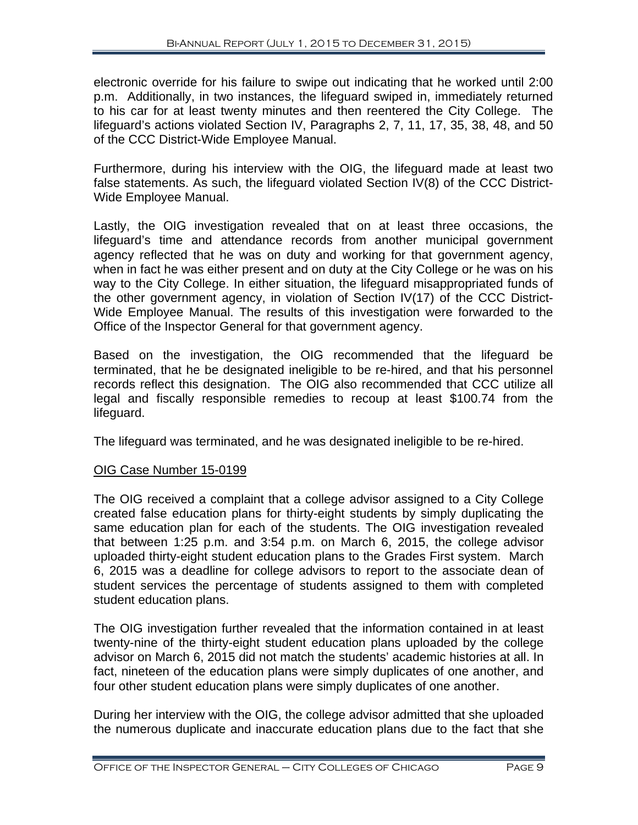electronic override for his failure to swipe out indicating that he worked until 2:00 p.m. Additionally, in two instances, the lifeguard swiped in, immediately returned to his car for at least twenty minutes and then reentered the City College. The lifeguard's actions violated Section IV, Paragraphs 2, 7, 11, 17, 35, 38, 48, and 50 of the CCC District-Wide Employee Manual.

Furthermore, during his interview with the OIG, the lifeguard made at least two false statements. As such, the lifeguard violated Section IV(8) of the CCC District-Wide Employee Manual.

Lastly, the OIG investigation revealed that on at least three occasions, the lifeguard's time and attendance records from another municipal government agency reflected that he was on duty and working for that government agency, when in fact he was either present and on duty at the City College or he was on his way to the City College. In either situation, the lifeguard misappropriated funds of the other government agency, in violation of Section IV(17) of the CCC District-Wide Employee Manual. The results of this investigation were forwarded to the Office of the Inspector General for that government agency.

Based on the investigation, the OIG recommended that the lifeguard be terminated, that he be designated ineligible to be re-hired, and that his personnel records reflect this designation. The OIG also recommended that CCC utilize all legal and fiscally responsible remedies to recoup at least \$100.74 from the lifeguard.

The lifeguard was terminated, and he was designated ineligible to be re-hired.

#### OIG Case Number 15-0199

The OIG received a complaint that a college advisor assigned to a City College created false education plans for thirty-eight students by simply duplicating the same education plan for each of the students. The OIG investigation revealed that between 1:25 p.m. and 3:54 p.m. on March 6, 2015, the college advisor uploaded thirty-eight student education plans to the Grades First system. March 6, 2015 was a deadline for college advisors to report to the associate dean of student services the percentage of students assigned to them with completed student education plans.

The OIG investigation further revealed that the information contained in at least twenty-nine of the thirty-eight student education plans uploaded by the college advisor on March 6, 2015 did not match the students' academic histories at all. In fact, nineteen of the education plans were simply duplicates of one another, and four other student education plans were simply duplicates of one another.

During her interview with the OIG, the college advisor admitted that she uploaded the numerous duplicate and inaccurate education plans due to the fact that she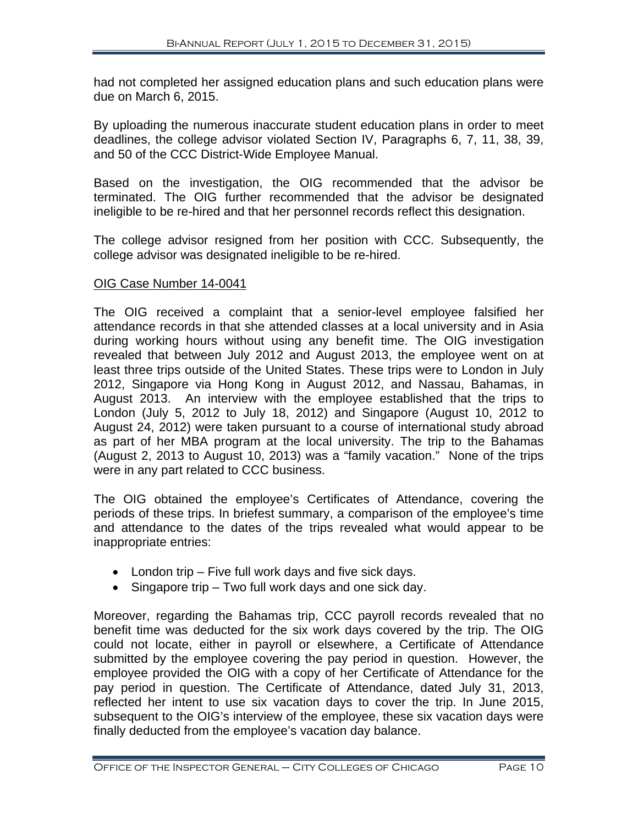had not completed her assigned education plans and such education plans were due on March 6, 2015.

By uploading the numerous inaccurate student education plans in order to meet deadlines, the college advisor violated Section IV, Paragraphs 6, 7, 11, 38, 39, and 50 of the CCC District-Wide Employee Manual.

Based on the investigation, the OIG recommended that the advisor be terminated. The OIG further recommended that the advisor be designated ineligible to be re-hired and that her personnel records reflect this designation.

The college advisor resigned from her position with CCC. Subsequently, the college advisor was designated ineligible to be re-hired.

#### OIG Case Number 14-0041

The OIG received a complaint that a senior-level employee falsified her attendance records in that she attended classes at a local university and in Asia during working hours without using any benefit time. The OIG investigation revealed that between July 2012 and August 2013, the employee went on at least three trips outside of the United States. These trips were to London in July 2012, Singapore via Hong Kong in August 2012, and Nassau, Bahamas, in August 2013. An interview with the employee established that the trips to London (July 5, 2012 to July 18, 2012) and Singapore (August 10, 2012 to August 24, 2012) were taken pursuant to a course of international study abroad as part of her MBA program at the local university. The trip to the Bahamas (August 2, 2013 to August 10, 2013) was a "family vacation." None of the trips were in any part related to CCC business.

The OIG obtained the employee's Certificates of Attendance, covering the periods of these trips. In briefest summary, a comparison of the employee's time and attendance to the dates of the trips revealed what would appear to be inappropriate entries:

- London trip Five full work days and five sick days.
- Singapore trip Two full work days and one sick day.

Moreover, regarding the Bahamas trip, CCC payroll records revealed that no benefit time was deducted for the six work days covered by the trip. The OIG could not locate, either in payroll or elsewhere, a Certificate of Attendance submitted by the employee covering the pay period in question. However, the employee provided the OIG with a copy of her Certificate of Attendance for the pay period in question. The Certificate of Attendance, dated July 31, 2013, reflected her intent to use six vacation days to cover the trip. In June 2015, subsequent to the OIG's interview of the employee, these six vacation days were finally deducted from the employee's vacation day balance.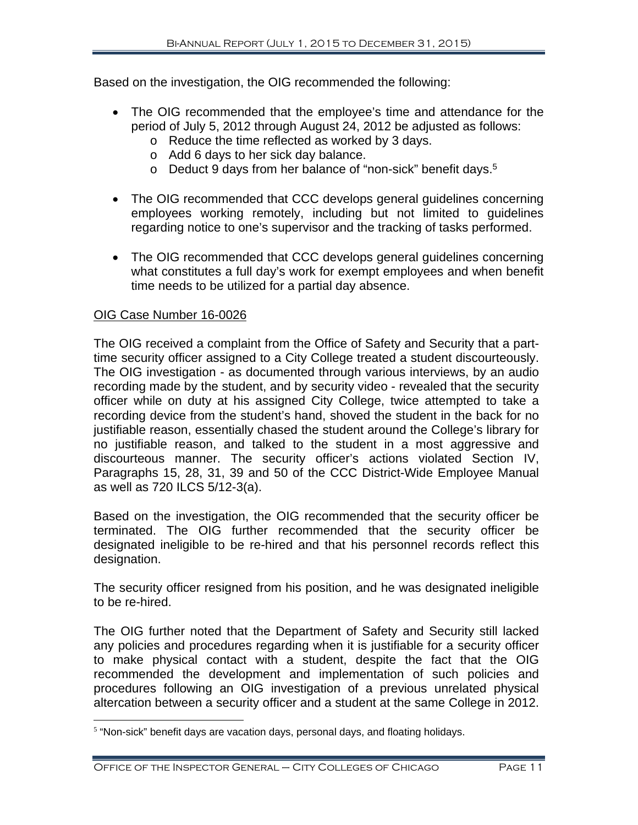Based on the investigation, the OIG recommended the following:

- The OIG recommended that the employee's time and attendance for the period of July 5, 2012 through August 24, 2012 be adjusted as follows:
	- o Reduce the time reflected as worked by 3 days.
	- o Add 6 days to her sick day balance.
	- o Deduct 9 days from her balance of "non-sick" benefit days.5
- The OIG recommended that CCC develops general guidelines concerning employees working remotely, including but not limited to guidelines regarding notice to one's supervisor and the tracking of tasks performed.
- The OIG recommended that CCC develops general guidelines concerning what constitutes a full day's work for exempt employees and when benefit time needs to be utilized for a partial day absence.

#### OIG Case Number 16-0026

 $\overline{a}$ 

The OIG received a complaint from the Office of Safety and Security that a parttime security officer assigned to a City College treated a student discourteously. The OIG investigation - as documented through various interviews, by an audio recording made by the student, and by security video - revealed that the security officer while on duty at his assigned City College, twice attempted to take a recording device from the student's hand, shoved the student in the back for no justifiable reason, essentially chased the student around the College's library for no justifiable reason, and talked to the student in a most aggressive and discourteous manner. The security officer's actions violated Section IV, Paragraphs 15, 28, 31, 39 and 50 of the CCC District-Wide Employee Manual as well as 720 ILCS 5/12-3(a).

Based on the investigation, the OIG recommended that the security officer be terminated. The OIG further recommended that the security officer be designated ineligible to be re-hired and that his personnel records reflect this designation.

The security officer resigned from his position, and he was designated ineligible to be re-hired.

The OIG further noted that the Department of Safety and Security still lacked any policies and procedures regarding when it is justifiable for a security officer to make physical contact with a student, despite the fact that the OIG recommended the development and implementation of such policies and procedures following an OIG investigation of a previous unrelated physical altercation between a security officer and a student at the same College in 2012.

<sup>&</sup>lt;sup>5</sup> "Non-sick" benefit days are vacation days, personal days, and floating holidays.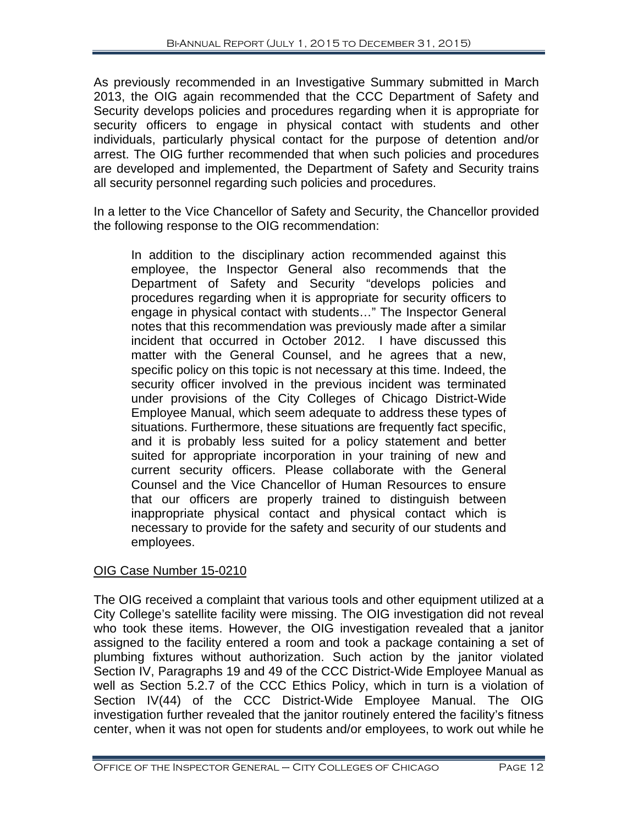As previously recommended in an Investigative Summary submitted in March 2013, the OIG again recommended that the CCC Department of Safety and Security develops policies and procedures regarding when it is appropriate for security officers to engage in physical contact with students and other individuals, particularly physical contact for the purpose of detention and/or arrest. The OIG further recommended that when such policies and procedures are developed and implemented, the Department of Safety and Security trains all security personnel regarding such policies and procedures.

In a letter to the Vice Chancellor of Safety and Security, the Chancellor provided the following response to the OIG recommendation:

In addition to the disciplinary action recommended against this employee, the Inspector General also recommends that the Department of Safety and Security "develops policies and procedures regarding when it is appropriate for security officers to engage in physical contact with students…" The Inspector General notes that this recommendation was previously made after a similar incident that occurred in October 2012. I have discussed this matter with the General Counsel, and he agrees that a new, specific policy on this topic is not necessary at this time. Indeed, the security officer involved in the previous incident was terminated under provisions of the City Colleges of Chicago District-Wide Employee Manual, which seem adequate to address these types of situations. Furthermore, these situations are frequently fact specific, and it is probably less suited for a policy statement and better suited for appropriate incorporation in your training of new and current security officers. Please collaborate with the General Counsel and the Vice Chancellor of Human Resources to ensure that our officers are properly trained to distinguish between inappropriate physical contact and physical contact which is necessary to provide for the safety and security of our students and employees.

#### OIG Case Number 15-0210

The OIG received a complaint that various tools and other equipment utilized at a City College's satellite facility were missing. The OIG investigation did not reveal who took these items. However, the OIG investigation revealed that a janitor assigned to the facility entered a room and took a package containing a set of plumbing fixtures without authorization. Such action by the janitor violated Section IV, Paragraphs 19 and 49 of the CCC District-Wide Employee Manual as well as Section 5.2.7 of the CCC Ethics Policy, which in turn is a violation of Section IV(44) of the CCC District-Wide Employee Manual. The OIG investigation further revealed that the janitor routinely entered the facility's fitness center, when it was not open for students and/or employees, to work out while he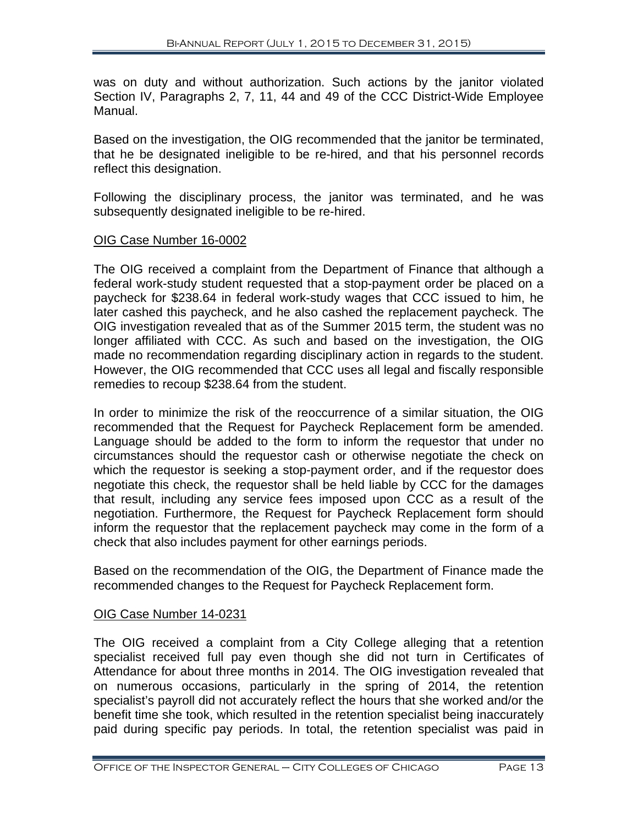was on duty and without authorization. Such actions by the janitor violated Section IV, Paragraphs 2, 7, 11, 44 and 49 of the CCC District-Wide Employee Manual.

Based on the investigation, the OIG recommended that the janitor be terminated, that he be designated ineligible to be re-hired, and that his personnel records reflect this designation.

Following the disciplinary process, the janitor was terminated, and he was subsequently designated ineligible to be re-hired.

#### OIG Case Number 16-0002

The OIG received a complaint from the Department of Finance that although a federal work-study student requested that a stop-payment order be placed on a paycheck for \$238.64 in federal work-study wages that CCC issued to him, he later cashed this paycheck, and he also cashed the replacement paycheck. The OIG investigation revealed that as of the Summer 2015 term, the student was no longer affiliated with CCC. As such and based on the investigation, the OIG made no recommendation regarding disciplinary action in regards to the student. However, the OIG recommended that CCC uses all legal and fiscally responsible remedies to recoup \$238.64 from the student.

In order to minimize the risk of the reoccurrence of a similar situation, the OIG recommended that the Request for Paycheck Replacement form be amended. Language should be added to the form to inform the requestor that under no circumstances should the requestor cash or otherwise negotiate the check on which the requestor is seeking a stop-payment order, and if the requestor does negotiate this check, the requestor shall be held liable by CCC for the damages that result, including any service fees imposed upon CCC as a result of the negotiation. Furthermore, the Request for Paycheck Replacement form should inform the requestor that the replacement paycheck may come in the form of a check that also includes payment for other earnings periods.

Based on the recommendation of the OIG, the Department of Finance made the recommended changes to the Request for Paycheck Replacement form.

#### OIG Case Number 14-0231

The OIG received a complaint from a City College alleging that a retention specialist received full pay even though she did not turn in Certificates of Attendance for about three months in 2014. The OIG investigation revealed that on numerous occasions, particularly in the spring of 2014, the retention specialist's payroll did not accurately reflect the hours that she worked and/or the benefit time she took, which resulted in the retention specialist being inaccurately paid during specific pay periods. In total, the retention specialist was paid in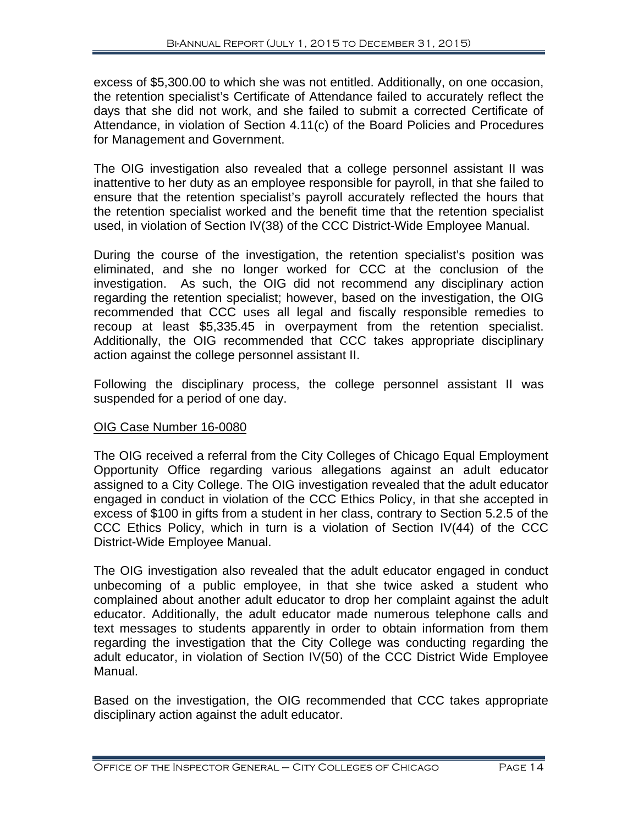excess of \$5,300.00 to which she was not entitled. Additionally, on one occasion, the retention specialist's Certificate of Attendance failed to accurately reflect the days that she did not work, and she failed to submit a corrected Certificate of Attendance, in violation of Section 4.11(c) of the Board Policies and Procedures for Management and Government.

The OIG investigation also revealed that a college personnel assistant II was inattentive to her duty as an employee responsible for payroll, in that she failed to ensure that the retention specialist's payroll accurately reflected the hours that the retention specialist worked and the benefit time that the retention specialist used, in violation of Section IV(38) of the CCC District-Wide Employee Manual.

During the course of the investigation, the retention specialist's position was eliminated, and she no longer worked for CCC at the conclusion of the investigation. As such, the OIG did not recommend any disciplinary action regarding the retention specialist; however, based on the investigation, the OIG recommended that CCC uses all legal and fiscally responsible remedies to recoup at least \$5,335.45 in overpayment from the retention specialist. Additionally, the OIG recommended that CCC takes appropriate disciplinary action against the college personnel assistant II.

Following the disciplinary process, the college personnel assistant II was suspended for a period of one day.

#### OIG Case Number 16-0080

The OIG received a referral from the City Colleges of Chicago Equal Employment Opportunity Office regarding various allegations against an adult educator assigned to a City College. The OIG investigation revealed that the adult educator engaged in conduct in violation of the CCC Ethics Policy, in that she accepted in excess of \$100 in gifts from a student in her class, contrary to Section 5.2.5 of the CCC Ethics Policy, which in turn is a violation of Section IV(44) of the CCC District-Wide Employee Manual.

The OIG investigation also revealed that the adult educator engaged in conduct unbecoming of a public employee, in that she twice asked a student who complained about another adult educator to drop her complaint against the adult educator. Additionally, the adult educator made numerous telephone calls and text messages to students apparently in order to obtain information from them regarding the investigation that the City College was conducting regarding the adult educator, in violation of Section IV(50) of the CCC District Wide Employee Manual.

Based on the investigation, the OIG recommended that CCC takes appropriate disciplinary action against the adult educator.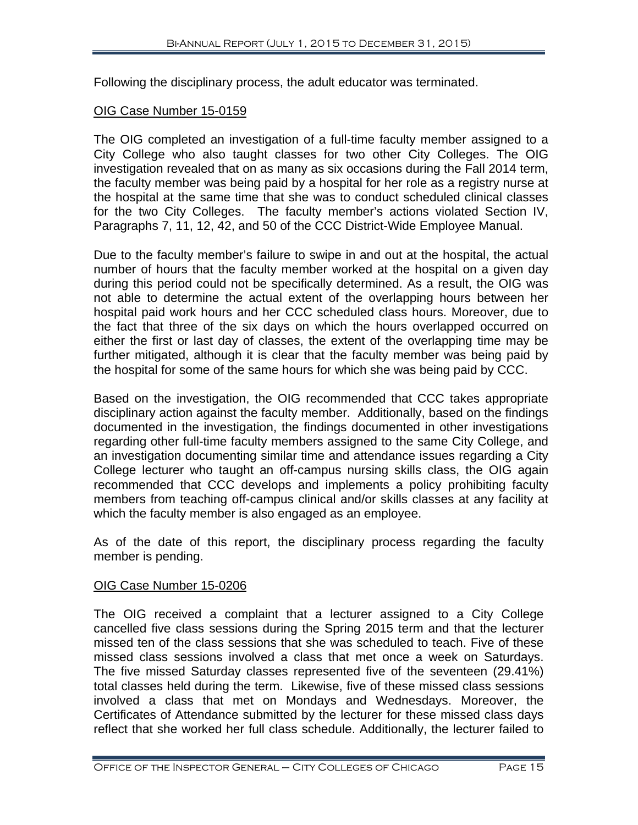Following the disciplinary process, the adult educator was terminated.

#### OIG Case Number 15-0159

The OIG completed an investigation of a full-time faculty member assigned to a City College who also taught classes for two other City Colleges. The OIG investigation revealed that on as many as six occasions during the Fall 2014 term, the faculty member was being paid by a hospital for her role as a registry nurse at the hospital at the same time that she was to conduct scheduled clinical classes for the two City Colleges. The faculty member's actions violated Section IV, Paragraphs 7, 11, 12, 42, and 50 of the CCC District-Wide Employee Manual.

Due to the faculty member's failure to swipe in and out at the hospital, the actual number of hours that the faculty member worked at the hospital on a given day during this period could not be specifically determined. As a result, the OIG was not able to determine the actual extent of the overlapping hours between her hospital paid work hours and her CCC scheduled class hours. Moreover, due to the fact that three of the six days on which the hours overlapped occurred on either the first or last day of classes, the extent of the overlapping time may be further mitigated, although it is clear that the faculty member was being paid by the hospital for some of the same hours for which she was being paid by CCC.

Based on the investigation, the OIG recommended that CCC takes appropriate disciplinary action against the faculty member. Additionally, based on the findings documented in the investigation, the findings documented in other investigations regarding other full-time faculty members assigned to the same City College, and an investigation documenting similar time and attendance issues regarding a City College lecturer who taught an off-campus nursing skills class, the OIG again recommended that CCC develops and implements a policy prohibiting faculty members from teaching off-campus clinical and/or skills classes at any facility at which the faculty member is also engaged as an employee.

As of the date of this report, the disciplinary process regarding the faculty member is pending.

#### OIG Case Number 15-0206

The OIG received a complaint that a lecturer assigned to a City College cancelled five class sessions during the Spring 2015 term and that the lecturer missed ten of the class sessions that she was scheduled to teach. Five of these missed class sessions involved a class that met once a week on Saturdays. The five missed Saturday classes represented five of the seventeen (29.41%) total classes held during the term. Likewise, five of these missed class sessions involved a class that met on Mondays and Wednesdays. Moreover, the Certificates of Attendance submitted by the lecturer for these missed class days reflect that she worked her full class schedule. Additionally, the lecturer failed to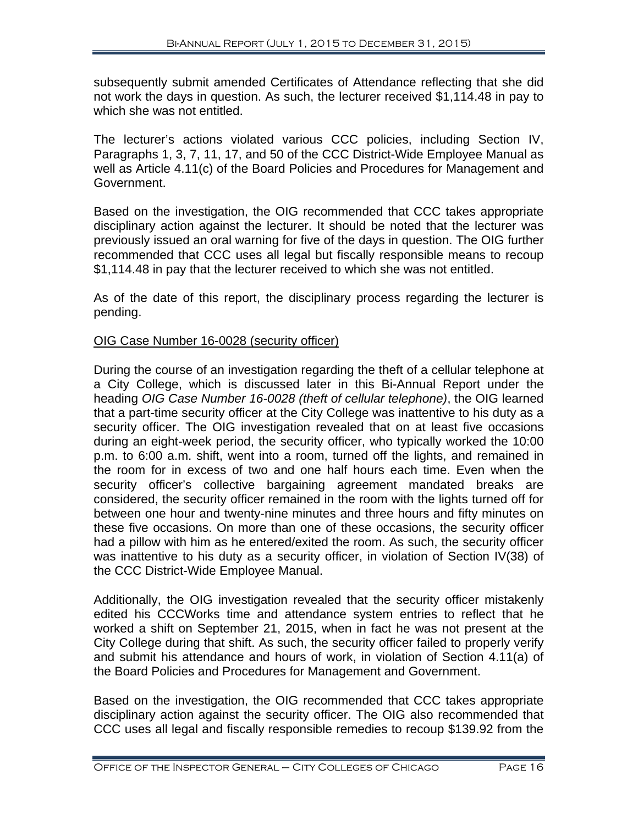subsequently submit amended Certificates of Attendance reflecting that she did not work the days in question. As such, the lecturer received \$1,114.48 in pay to which she was not entitled.

The lecturer's actions violated various CCC policies, including Section IV, Paragraphs 1, 3, 7, 11, 17, and 50 of the CCC District-Wide Employee Manual as well as Article 4.11(c) of the Board Policies and Procedures for Management and Government.

Based on the investigation, the OIG recommended that CCC takes appropriate disciplinary action against the lecturer. It should be noted that the lecturer was previously issued an oral warning for five of the days in question. The OIG further recommended that CCC uses all legal but fiscally responsible means to recoup \$1,114.48 in pay that the lecturer received to which she was not entitled.

As of the date of this report, the disciplinary process regarding the lecturer is pending.

#### OIG Case Number 16-0028 (security officer)

During the course of an investigation regarding the theft of a cellular telephone at a City College, which is discussed later in this Bi-Annual Report under the heading *OIG Case Number 16-0028 (theft of cellular telephone)*, the OIG learned that a part-time security officer at the City College was inattentive to his duty as a security officer. The OIG investigation revealed that on at least five occasions during an eight-week period, the security officer, who typically worked the 10:00 p.m. to 6:00 a.m. shift, went into a room, turned off the lights, and remained in the room for in excess of two and one half hours each time. Even when the security officer's collective bargaining agreement mandated breaks are considered, the security officer remained in the room with the lights turned off for between one hour and twenty-nine minutes and three hours and fifty minutes on these five occasions. On more than one of these occasions, the security officer had a pillow with him as he entered/exited the room. As such, the security officer was inattentive to his duty as a security officer, in violation of Section IV(38) of the CCC District-Wide Employee Manual.

Additionally, the OIG investigation revealed that the security officer mistakenly edited his CCCWorks time and attendance system entries to reflect that he worked a shift on September 21, 2015, when in fact he was not present at the City College during that shift. As such, the security officer failed to properly verify and submit his attendance and hours of work, in violation of Section 4.11(a) of the Board Policies and Procedures for Management and Government.

Based on the investigation, the OIG recommended that CCC takes appropriate disciplinary action against the security officer. The OIG also recommended that CCC uses all legal and fiscally responsible remedies to recoup \$139.92 from the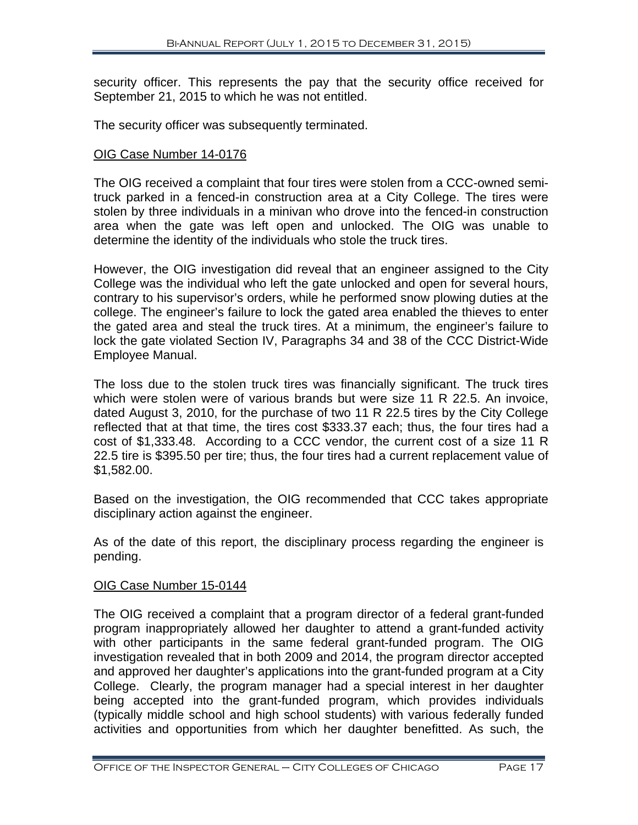security officer. This represents the pay that the security office received for September 21, 2015 to which he was not entitled.

The security officer was subsequently terminated.

#### OIG Case Number 14-0176

The OIG received a complaint that four tires were stolen from a CCC-owned semitruck parked in a fenced-in construction area at a City College. The tires were stolen by three individuals in a minivan who drove into the fenced-in construction area when the gate was left open and unlocked. The OIG was unable to determine the identity of the individuals who stole the truck tires.

However, the OIG investigation did reveal that an engineer assigned to the City College was the individual who left the gate unlocked and open for several hours, contrary to his supervisor's orders, while he performed snow plowing duties at the college. The engineer's failure to lock the gated area enabled the thieves to enter the gated area and steal the truck tires. At a minimum, the engineer's failure to lock the gate violated Section IV, Paragraphs 34 and 38 of the CCC District-Wide Employee Manual.

The loss due to the stolen truck tires was financially significant. The truck tires which were stolen were of various brands but were size 11 R 22.5. An invoice, dated August 3, 2010, for the purchase of two 11 R 22.5 tires by the City College reflected that at that time, the tires cost \$333.37 each; thus, the four tires had a cost of \$1,333.48. According to a CCC vendor, the current cost of a size 11 R 22.5 tire is \$395.50 per tire; thus, the four tires had a current replacement value of \$1,582.00.

Based on the investigation, the OIG recommended that CCC takes appropriate disciplinary action against the engineer.

As of the date of this report, the disciplinary process regarding the engineer is pending.

#### OIG Case Number 15-0144

The OIG received a complaint that a program director of a federal grant-funded program inappropriately allowed her daughter to attend a grant-funded activity with other participants in the same federal grant-funded program. The OIG investigation revealed that in both 2009 and 2014, the program director accepted and approved her daughter's applications into the grant-funded program at a City College. Clearly, the program manager had a special interest in her daughter being accepted into the grant-funded program, which provides individuals (typically middle school and high school students) with various federally funded activities and opportunities from which her daughter benefitted. As such, the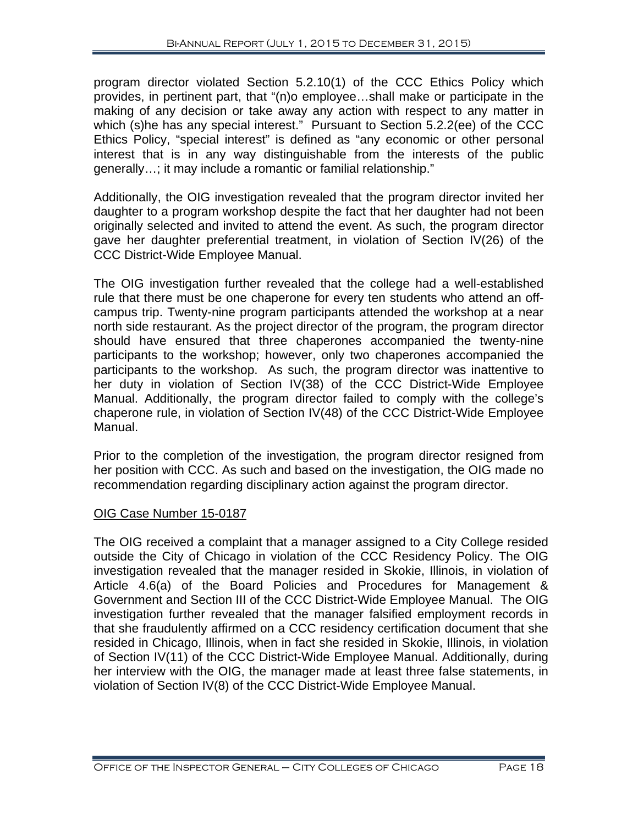program director violated Section 5.2.10(1) of the CCC Ethics Policy which provides, in pertinent part, that "(n)o employee…shall make or participate in the making of any decision or take away any action with respect to any matter in which (s)he has any special interest." Pursuant to Section 5.2.2(ee) of the CCC Ethics Policy, "special interest" is defined as "any economic or other personal interest that is in any way distinguishable from the interests of the public generally…; it may include a romantic or familial relationship."

Additionally, the OIG investigation revealed that the program director invited her daughter to a program workshop despite the fact that her daughter had not been originally selected and invited to attend the event. As such, the program director gave her daughter preferential treatment, in violation of Section IV(26) of the CCC District-Wide Employee Manual.

The OIG investigation further revealed that the college had a well-established rule that there must be one chaperone for every ten students who attend an offcampus trip. Twenty-nine program participants attended the workshop at a near north side restaurant. As the project director of the program, the program director should have ensured that three chaperones accompanied the twenty-nine participants to the workshop; however, only two chaperones accompanied the participants to the workshop. As such, the program director was inattentive to her duty in violation of Section IV(38) of the CCC District-Wide Employee Manual. Additionally, the program director failed to comply with the college's chaperone rule, in violation of Section IV(48) of the CCC District-Wide Employee Manual.

Prior to the completion of the investigation, the program director resigned from her position with CCC. As such and based on the investigation, the OIG made no recommendation regarding disciplinary action against the program director.

#### OIG Case Number 15-0187

The OIG received a complaint that a manager assigned to a City College resided outside the City of Chicago in violation of the CCC Residency Policy. The OIG investigation revealed that the manager resided in Skokie, Illinois, in violation of Article 4.6(a) of the Board Policies and Procedures for Management & Government and Section III of the CCC District-Wide Employee Manual. The OIG investigation further revealed that the manager falsified employment records in that she fraudulently affirmed on a CCC residency certification document that she resided in Chicago, Illinois, when in fact she resided in Skokie, Illinois, in violation of Section IV(11) of the CCC District-Wide Employee Manual. Additionally, during her interview with the OIG, the manager made at least three false statements, in violation of Section IV(8) of the CCC District-Wide Employee Manual.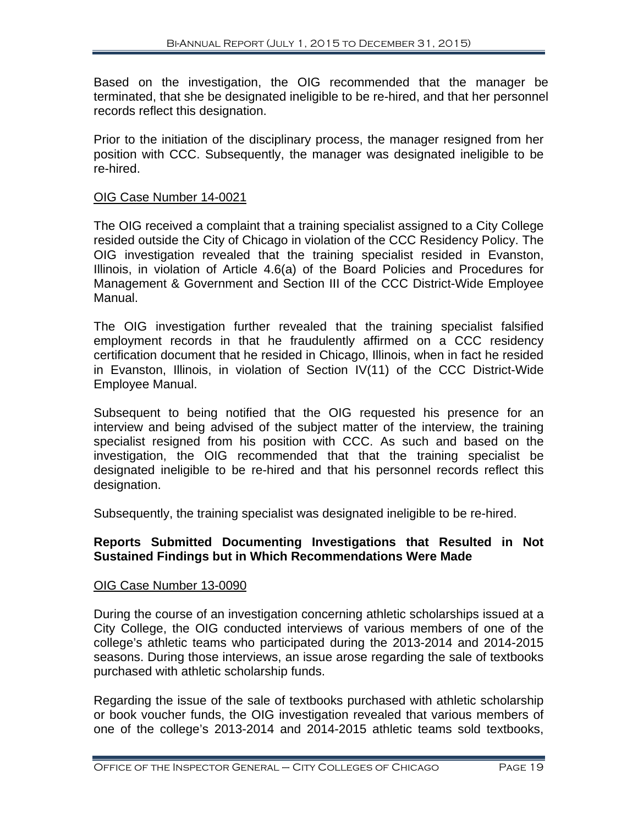Based on the investigation, the OIG recommended that the manager be terminated, that she be designated ineligible to be re-hired, and that her personnel records reflect this designation.

Prior to the initiation of the disciplinary process, the manager resigned from her position with CCC. Subsequently, the manager was designated ineligible to be re-hired.

#### OIG Case Number 14-0021

The OIG received a complaint that a training specialist assigned to a City College resided outside the City of Chicago in violation of the CCC Residency Policy. The OIG investigation revealed that the training specialist resided in Evanston, Illinois, in violation of Article 4.6(a) of the Board Policies and Procedures for Management & Government and Section III of the CCC District-Wide Employee Manual.

The OIG investigation further revealed that the training specialist falsified employment records in that he fraudulently affirmed on a CCC residency certification document that he resided in Chicago, Illinois, when in fact he resided in Evanston, Illinois, in violation of Section IV(11) of the CCC District-Wide Employee Manual.

Subsequent to being notified that the OIG requested his presence for an interview and being advised of the subject matter of the interview, the training specialist resigned from his position with CCC. As such and based on the investigation, the OIG recommended that that the training specialist be designated ineligible to be re-hired and that his personnel records reflect this designation.

Subsequently, the training specialist was designated ineligible to be re-hired.

#### **Reports Submitted Documenting Investigations that Resulted in Not Sustained Findings but in Which Recommendations Were Made**

#### OIG Case Number 13-0090

During the course of an investigation concerning athletic scholarships issued at a City College, the OIG conducted interviews of various members of one of the college's athletic teams who participated during the 2013-2014 and 2014-2015 seasons. During those interviews, an issue arose regarding the sale of textbooks purchased with athletic scholarship funds.

Regarding the issue of the sale of textbooks purchased with athletic scholarship or book voucher funds, the OIG investigation revealed that various members of one of the college's 2013-2014 and 2014-2015 athletic teams sold textbooks,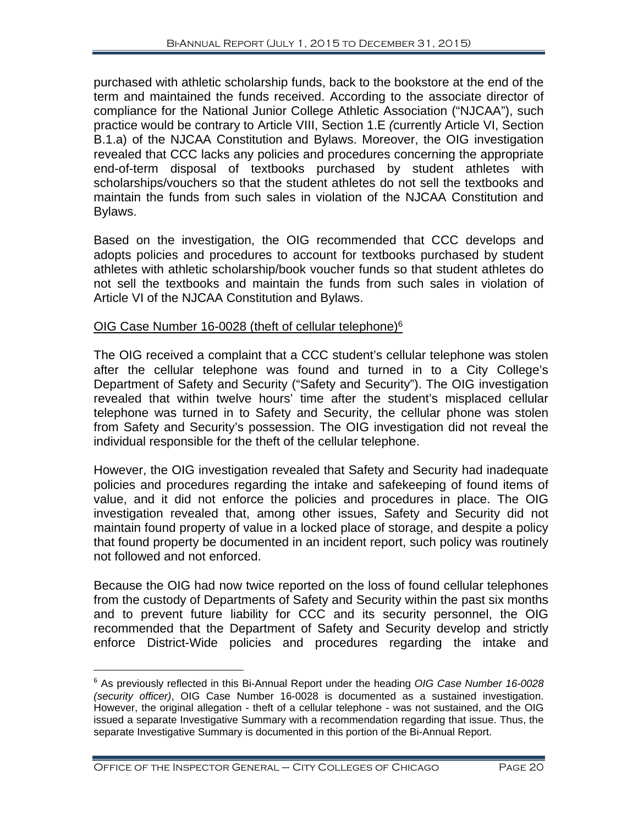purchased with athletic scholarship funds, back to the bookstore at the end of the term and maintained the funds received. According to the associate director of compliance for the National Junior College Athletic Association ("NJCAA"), such practice would be contrary to Article VIII, Section 1.E *(*currently Article VI, Section B.1.a) of the NJCAA Constitution and Bylaws. Moreover, the OIG investigation revealed that CCC lacks any policies and procedures concerning the appropriate end-of-term disposal of textbooks purchased by student athletes with scholarships/vouchers so that the student athletes do not sell the textbooks and maintain the funds from such sales in violation of the NJCAA Constitution and Bylaws.

Based on the investigation, the OIG recommended that CCC develops and adopts policies and procedures to account for textbooks purchased by student athletes with athletic scholarship/book voucher funds so that student athletes do not sell the textbooks and maintain the funds from such sales in violation of Article VI of the NJCAA Constitution and Bylaws.

#### OIG Case Number 16-0028 (theft of cellular telephone)<sup>6</sup>

The OIG received a complaint that a CCC student's cellular telephone was stolen after the cellular telephone was found and turned in to a City College's Department of Safety and Security ("Safety and Security"). The OIG investigation revealed that within twelve hours' time after the student's misplaced cellular telephone was turned in to Safety and Security, the cellular phone was stolen from Safety and Security's possession. The OIG investigation did not reveal the individual responsible for the theft of the cellular telephone.

However, the OIG investigation revealed that Safety and Security had inadequate policies and procedures regarding the intake and safekeeping of found items of value, and it did not enforce the policies and procedures in place. The OIG investigation revealed that, among other issues, Safety and Security did not maintain found property of value in a locked place of storage, and despite a policy that found property be documented in an incident report, such policy was routinely not followed and not enforced.

Because the OIG had now twice reported on the loss of found cellular telephones from the custody of Departments of Safety and Security within the past six months and to prevent future liability for CCC and its security personnel, the OIG recommended that the Department of Safety and Security develop and strictly enforce District-Wide policies and procedures regarding the intake and

 $\overline{a}$ 

<sup>6</sup> As previously reflected in this Bi-Annual Report under the heading *OIG Case Number 16-0028 (security officer)*, OIG Case Number 16-0028 is documented as a sustained investigation. However, the original allegation - theft of a cellular telephone - was not sustained, and the OIG issued a separate Investigative Summary with a recommendation regarding that issue. Thus, the separate Investigative Summary is documented in this portion of the Bi-Annual Report.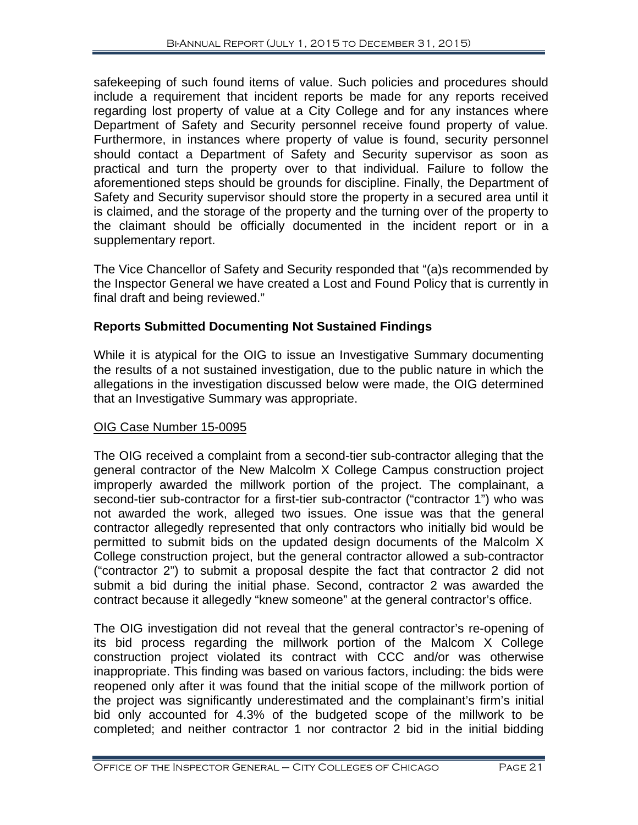safekeeping of such found items of value. Such policies and procedures should include a requirement that incident reports be made for any reports received regarding lost property of value at a City College and for any instances where Department of Safety and Security personnel receive found property of value. Furthermore, in instances where property of value is found, security personnel should contact a Department of Safety and Security supervisor as soon as practical and turn the property over to that individual. Failure to follow the aforementioned steps should be grounds for discipline. Finally, the Department of Safety and Security supervisor should store the property in a secured area until it is claimed, and the storage of the property and the turning over of the property to the claimant should be officially documented in the incident report or in a supplementary report.

The Vice Chancellor of Safety and Security responded that "(a)s recommended by the Inspector General we have created a Lost and Found Policy that is currently in final draft and being reviewed."

#### **Reports Submitted Documenting Not Sustained Findings**

While it is atypical for the OIG to issue an Investigative Summary documenting the results of a not sustained investigation, due to the public nature in which the allegations in the investigation discussed below were made, the OIG determined that an Investigative Summary was appropriate.

#### OIG Case Number 15-0095

The OIG received a complaint from a second-tier sub-contractor alleging that the general contractor of the New Malcolm X College Campus construction project improperly awarded the millwork portion of the project. The complainant, a second-tier sub-contractor for a first-tier sub-contractor ("contractor 1") who was not awarded the work, alleged two issues. One issue was that the general contractor allegedly represented that only contractors who initially bid would be permitted to submit bids on the updated design documents of the Malcolm X College construction project, but the general contractor allowed a sub-contractor ("contractor 2") to submit a proposal despite the fact that contractor 2 did not submit a bid during the initial phase. Second, contractor 2 was awarded the contract because it allegedly "knew someone" at the general contractor's office.

The OIG investigation did not reveal that the general contractor's re-opening of its bid process regarding the millwork portion of the Malcom X College construction project violated its contract with CCC and/or was otherwise inappropriate. This finding was based on various factors, including: the bids were reopened only after it was found that the initial scope of the millwork portion of the project was significantly underestimated and the complainant's firm's initial bid only accounted for 4.3% of the budgeted scope of the millwork to be completed; and neither contractor 1 nor contractor 2 bid in the initial bidding